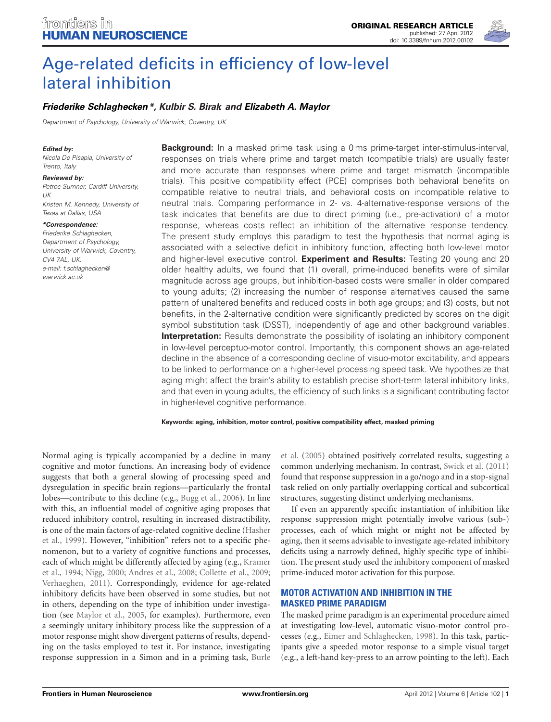

# [Age-related deficits in efficiency of low-level](http://www.frontiersin.org/Human_Neuroscience/10.3389/fnhum.2012.00102/abstract) lateral inhibition

# *[Friederike Schlaghecken\\*](http://www.frontiersin.org/Community/WhosWhoActivity.aspx?sname=FriederikeSchlaghecken&UID=32861), Kulbir S. Birak and [Elizabeth A. Maylor](http://community.frontiersin.org/people/ElizabethMaylor/32043)*

*Department of Psychology, University of Warwick, Coventry, UK*

#### *Edited by:*

*Nicola De Pisapia, University of Trento, Italy*

*Reviewed by: Petroc Sumner, Cardiff University, UK Kristen M. Kennedy, University of Texas at Dallas, USA*

*\*Correspondence: Friederike Schlaghecken, Department of Psychology, University of Warwick, Coventry, CV4 7AL, UK. e-mail: f.schlaghecken@ warwick.ac.uk*

**Background:** In a masked prime task using a 0 ms prime-target inter-stimulus-interval, responses on trials where prime and target match (compatible trials) are usually faster and more accurate than responses where prime and target mismatch (incompatible trials). This positive compatibility effect (PCE) comprises both behavioral benefits on compatible relative to neutral trials, and behavioral costs on incompatible relative to neutral trials. Comparing performance in 2- vs. 4-alternative-response versions of the task indicates that benefits are due to direct priming (i.e., pre-activation) of a motor response, whereas costs reflect an inhibition of the alternative response tendency. The present study employs this paradigm to test the hypothesis that normal aging is associated with a selective deficit in inhibitory function, affecting both low-level motor and higher-level executive control. **Experiment and Results:** Testing 20 young and 20 older healthy adults, we found that (1) overall, prime-induced benefits were of similar magnitude across age groups, but inhibition-based costs were smaller in older compared to young adults; (2) increasing the number of response alternatives caused the same pattern of unaltered benefits and reduced costs in both age groups; and (3) costs, but not benefits, in the 2-alternative condition were significantly predicted by scores on the digit symbol substitution task (DSST), independently of age and other background variables. **Interpretation:** Results demonstrate the possibility of isolating an inhibitory component in low-level perceptuo-motor control. Importantly, this component shows an age-related decline in the absence of a corresponding decline of visuo-motor excitability, and appears to be linked to performance on a higher-level processing speed task. We hypothesize that aging might affect the brain's ability to establish precise short-term lateral inhibitory links, and that even in young adults, the efficiency of such links is a significant contributing factor in higher-level cognitive performance.

**Keywords: aging, inhibition, motor control, positive compatibility effect, masked priming**

Normal aging is typically accompanied by a decline in many cognitive and motor functions. An increasing body of evidence suggests that both a general slowing of processing speed and dysregulation in specific brain regions—particularly the frontal lobes—contribute to this decline (e.g., [Bugg et al., 2006\)](#page-6-0). In line with this, an influential model of cognitive aging proposes that reduced inhibitory control, resulting in increased distractibility, is on[e of the main factors of age-related cognitive decline \(](#page-7-0)Hasher et al., [1999](#page-7-0)). However, "inhibition" refers not to a specific phenomenon, but to a variety of cognitive functions and processes, each [of which might be differently affected by aging \(e.g.,](#page-7-1) Kramer et al., [1994;](#page-7-1) [Nigg, 2000;](#page-7-2) [Andres et al.](#page-6-1), [2008;](#page-6-1) [Collette et al., 2009;](#page-6-2) [Verhaeghen](#page-8-0), [2011\)](#page-8-0). Correspondingly, evidence for age-related inhibitory deficits have been observed in some studies, but not in others, depending on the type of inhibition under investigation (see [Maylor et al.](#page-7-3), [2005](#page-7-3), for examples). Furthermore, even a seemingly unitary inhibitory process like the suppression of a motor response might show divergent patterns of results, de[pend](#page-6-3)ing on the tasks employed to test it. For instance, investigating response suppression in a Simon and in a priming task, Burle

et al. [\(2005\)](#page-6-3) obtained positively correlated results, suggesting a common underlying mechanism. In contrast, [Swick et al.](#page-7-4) [\(2011\)](#page-7-4) found that response suppression in a go/nogo and in a stop-signal task relied on only partially overlapping cortical and subcortical structures, suggesting distinct underlying mechanisms.

If even an apparently specific instantiation of inhibition like response suppression might potentially involve various (sub-) processes, each of which might or might not be affected by aging, then it seems advisable to investigate age-related inhibitory deficits using a narrowly defined, highly specific type of inhibition. The present study used the inhibitory component of masked prime-induced motor activation for this purpose.

# **MOTOR ACTIVATION AND INHIBITION IN THE MASKED PRIME PARADIGM**

The masked prime paradigm is an experimental procedure aimed at investigating low-level, automatic visuo-motor control processes (e.g., [Eimer and Schlaghecken](#page-6-4), [1998\)](#page-6-4). In this task, participants give a speeded motor response to a simple visual target (e.g., a left-hand key-press to an arrow pointing to the left). Each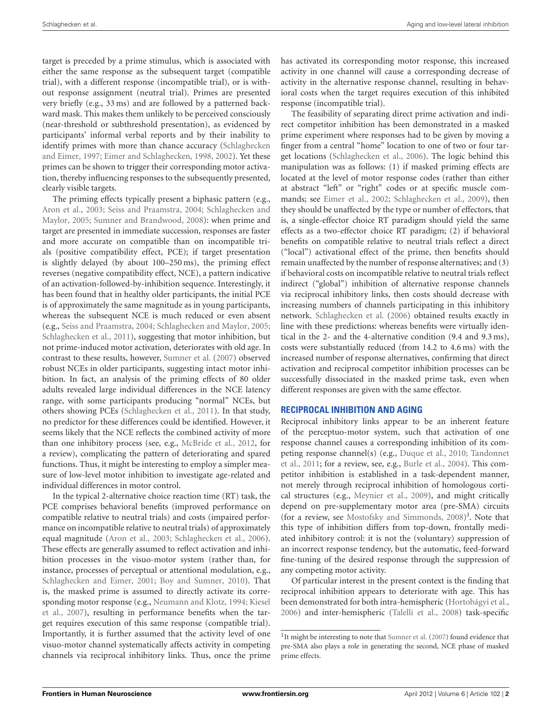target is preceded by a prime stimulus, which is associated with either the same response as the subsequent target (compatible trial), with a different response (incompatible trial), or is without response assignment (neutral trial). Primes are presented very briefly (e.g., 33 ms) and are followed by a patterned backward mask. This makes them unlikely to be perceived consciously (near-threshold or subthreshold presentation), as evidenced by participants' informal verbal reports and by their inability to identify p[rimes with more than chance accuracy \(](#page-7-5)Schlaghecken and Eimer, [1997](#page-7-5); [Eimer and Schlaghecken](#page-6-4), [1998](#page-6-4), [2002](#page-7-6)). Yet these primes can be shown to trigger their corresponding motor activation, thereby influencing responses to the subsequently presented, clearly visible targets.

The priming effects typically present a biphasic pattern (e.g., [Aron et al.](#page-6-5)[,](#page-7-8) [2003](#page-6-5)[;](#page-7-8) [Seiss and Praamstra](#page-7-7)[,](#page-7-8) [2004](#page-7-7)[;](#page-7-8) Schlaghecken and Maylor, [2005](#page-7-8); [Sumner and Brandwood](#page-7-9), [2008\)](#page-7-9): when prime and target are presented in immediate succession, responses are faster and more accurate on compatible than on incompatible trials (positive compatibility effect, PCE); if target presentation is slightly delayed (by about 100–250 ms), the priming effect reverses (negative compatibility effect, NCE), a pattern indicative of an activation-followed-by-inhibition sequence. Interestingly, it has been found that in healthy older participants, the initial PCE is of approximately the same magnitude as in young participants, whereas the subsequent NCE is much reduced or even absent (e.g., [Seiss and Praamstra](#page-7-7), [2004](#page-7-7); [Schlaghecken and Maylor](#page-7-8), [2005;](#page-7-8) [Schlaghecken et al., 2011](#page-7-10)), suggesting that motor inhibition, but not prime-induced motor activation, deteriorates with old age. In contrast to these results, however, [Sumner et al.](#page-7-11) [\(2007](#page-7-11)) observed robust NCEs in older participants, suggesting intact motor inhibition. In fact, an analysis of the priming effects of 80 older adults revealed large individual differences in the NCE latency range, with some participants producing "normal" NCEs, but others showing PCEs [\(Schlaghecken et al., 2011](#page-7-10)). In that study, no predictor for these differences could be identified. However, it seems likely that the NCE reflects the combined activity of more than one inhibitory process (see, e.g., [McBride et al., 2012](#page-7-12), for a review), complicating the pattern of deteriorating and spared functions. Thus, it might be interesting to employ a simpler measure of low-level motor inhibition to investigate age-related and individual differences in motor control.

In the typical 2-alternative choice reaction time (RT) task, the PCE comprises behavioral benefits (improved performance on compatible relative to neutral trials) and costs (impaired performance on incompatible relative to neutral trials) of approximately equal magnitude [\(Aron et al., 2003](#page-6-5); [Schlaghecken et al., 2006](#page-7-13)). These effects are generally assumed to reflect activation and inhibition processes in the visuo-motor system (rather than, for instance, processes of perceptual or attentional modulation, e.g., [Schlaghecken and Eimer, 2001;](#page-7-14) [Boy and Sumner, 2010](#page-6-6)). That is, the masked prime is assumed to directly activate its corresponding motor response (e.g., [Neumann and Klotz](#page-7-15)[,](#page-7-16) [1994](#page-7-15)[;](#page-7-16) Kiesel et al., [2007](#page-7-16)), resulting in performance benefits when the target requires execution of this same response (compatible trial). Importantly, it is further assumed that the activity level of one visuo-motor channel systematically affects activity in competing channels via reciprocal inhibitory links. Thus, once the prime has activated its corresponding motor response, this increased activity in one channel will cause a corresponding decrease of activity in the alternative response channel, resulting in behavioral costs when the target requires execution of this inhibited response (incompatible trial).

The feasibility of separating direct prime activation and indirect competitor inhibition has been demonstrated in a masked prime experiment where responses had to be given by moving a finger from a central "home" location to one of two or four target locations [\(Schlaghecken et al.](#page-7-13), [2006](#page-7-13)). The logic behind this manipulation was as follows: (1) if masked priming effects are located at the level of motor response codes (rather than either at abstract "left" or "right" codes or at specific muscle commands; see [Eimer et al., 2002;](#page-7-17) [Schlaghecken et al., 2009\)](#page-7-18), then they should be unaffected by the type or number of effectors, that is, a single-effector choice RT paradigm should yield the same effects as a two-effector choice RT paradigm; (2) if behavioral benefits on compatible relative to neutral trials reflect a direct ("local") activational effect of the prime, then benefits should remain unaffected by the number of response alternatives; and (3) if behavioral costs on incompatible relative to neutral trials reflect indirect ("global") inhibition of alternative response channels via reciprocal inhibitory links, then costs should decrease with increasing numbers of channels participating in this inhibitory network. [Schlaghecken et al.](#page-7-13) [\(2006](#page-7-13)) obtained results exactly in line with these predictions: whereas benefits were virtually identical in the 2- and the 4-alternative condition (9.4 and 9.3 ms), costs were substantially reduced (from 14.2 to 4.6 ms) with the increased number of response alternatives, confirming that direct activation and reciprocal competitor inhibition processes can be successfully dissociated in the masked prime task, even when different responses are given with the same effector.

## **RECIPROCAL INHIBITION AND AGING**

Reciprocal inhibitory links appear to be an inherent feature of the perceptuo-motor system, such that activation of one response channel causes a corresponding inhibition of its competi[ng response channel\(s\) \(e.g.,](#page-7-19) [Duque et al., 2010;](#page-6-7) Tandonnet et al., [2011;](#page-7-19) for a review, see, e.g., [Burle et al.](#page-6-8), [2004\)](#page-6-8). This competitor inhibition is established in a task-dependent manner, not merely through reciprocal inhibition of homologous cortical structures (e.g., [Meynier et al.](#page-7-20), [2009](#page-7-20)), and might critically depend on pre-supplementary motor area (pre-SMA) circuits (for a review, see [Mostofsky and Simmonds, 2008](#page-7-21))<sup>1</sup>. Note that this type of inhibition differs from top-down, frontally mediated inhibitory control: it is not the (voluntary) suppression of an incorrect response tendency, but the automatic, feed-forward fine-tuning of the desired response through the suppression of any competing motor activity.

<span id="page-1-0"></span>Of particular interest in the present context is the finding that reciprocal inhibition appears to deteriorate with age. This has been demonstrated for both intra-hemispheric [\(Hortobágyi et al.,](#page-7-22) [2006\)](#page-7-22) and inter-hemispheric [\(Talelli et al.](#page-7-23), [2008\)](#page-7-23) task-specific

<sup>&</sup>lt;sup>1</sup>It might be interesting to note that [Sumner et al.](#page-7-11) [\(2007\)](#page-7-11) found evidence that pre-SMA also plays a role in generating the second, NCE phase of masked prime effects.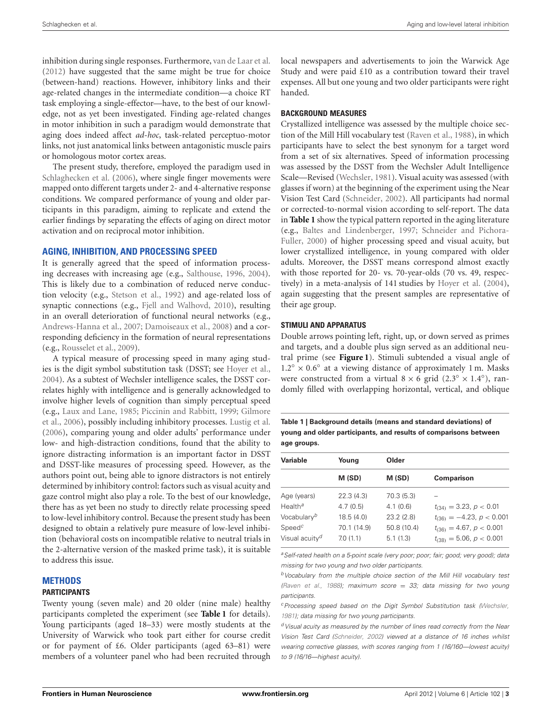inhibition during single responses. Furthermore, [van de Laar et al.](#page-7-24) [\(2012](#page-7-24)) have suggested that the same might be true for choice (between-hand) reactions. However, inhibitory links and their age-related changes in the intermediate condition—a choice RT task employing a single-effector—have, to the best of our knowledge, not as yet been investigated. Finding age-related changes in motor inhibition in such a paradigm would demonstrate that aging does indeed affect *ad-hoc*, task-related perceptuo-motor links, not just anatomical links between antagonistic muscle pairs or homologous motor cortex areas.

The present study, therefore, employed the paradigm used in [Schlaghecken et al.](#page-7-13) [\(2006](#page-7-13)), where single finger movements were mapped onto different targets under 2- and 4-alternative response conditions. We compared performance of young and older participants in this paradigm, aiming to replicate and extend the earlier findings by separating the effects of aging on direct motor activation and on reciprocal motor inhibition.

#### **AGING, INHIBITION, AND PROCESSING SPEED**

It is generally agreed that the speed of information processing decreases with increasing age (e.g., [Salthouse](#page-7-25), [1996](#page-7-25), [2004](#page-7-26)). This is likely due to a combination of reduced nerve conduction velocity (e.g., [Stetson et al., 1992\)](#page-7-27) and age-related loss of synaptic connections (e.g., [Fjell and Walhovd](#page-7-28), [2010\)](#page-7-28), resulting in an overall deterioration of functional neural networks (e.g., [Andrews-Hanna et al.](#page-6-9), [2007;](#page-6-9) [Damoiseaux et al., 2008\)](#page-6-10) and a corresponding deficiency in the formation of neural representations (e.g., [Rousselet et al., 2009](#page-7-29)).

A typical measure of processing speed in many aging studies is the digit symbol substitution task (DSST; see [Hoyer et al.](#page-7-30), [2004\)](#page-7-30). As a subtest of Wechsler intelligence scales, the DSST correlates highly with intelligence and is generally acknowledged to involve higher levels of cognition than simply perceptual speed (e.g., [Laux and Lane](#page-7-31)[,](#page-7-33) [1985;](#page-7-31) [Piccinin and Rabbitt](#page-7-32)[,](#page-7-33) [1999;](#page-7-32) Gilmore et al., [2006](#page-7-33)), possibly including inhibitory processes. [Lustig et al.](#page-7-34) [\(2006](#page-7-34)), comparing young and older adults' performance under low- and high-distraction conditions, found that the ability to ignore distracting information is an important factor in DSST and DSST-like measures of processing speed. However, as the authors point out, being able to ignore distractors is not entirely determined by inhibitory control: factors such as visual acuity and gaze control might also play a role. To the best of our knowledge, there has as yet been no study to directly relate processing speed to low-level inhibitory control. Because the present study has been designed to obtain a relatively pure measure of low-level inhibition (behavioral costs on incompatible relative to neutral trials in the 2-alternative version of the masked prime task), it is suitable to address this issue.

## **METHODS**

#### **PARTICIPANTS**

Twenty young (seven male) and 20 older (nine male) healthy participants completed the experiment (see **[Table 1](#page-2-0)** for details). Young participants (aged 18–33) were mostly students at the University of Warwick who took part either for course credit or for payment of £6. Older participants (aged 63–81) were members of a volunteer panel who had been recruited through

local newspapers and advertisements to join the Warwick Age Study and were paid £10 as a contribution toward their travel expenses. All but one young and two older participants were right handed.

#### **BACKGROUND MEASURES**

Crystallized intelligence was assessed by the multiple choice section of the Mill Hill vocabulary test [\(Raven et al., 1988](#page-7-35)), in which participants have to select the best synonym for a target word from a set of six alternatives. Speed of information processing was assessed by the DSST from the Wechsler Adult Intelligence Scale—Revised [\(Wechsler, 1981](#page-8-1)). Visual acuity was assessed (with glasses if worn) at the beginning of the experiment using the Near Vision Test Card [\(Schneider](#page-7-36), [2002\)](#page-7-36). All participants had normal or corrected-to-normal vision according to self-report. The data in **[Table 1](#page-2-0)** show the typical pattern reported in the aging literature (e.g., [Baltes and Lindenberger](#page-6-11)[,](#page-7-37) [1997](#page-6-11)[;](#page-7-37) Schneider and Pichora-Fuller, [2000\)](#page-7-37) of higher processing speed and visual acuity, but lower crystallized intelligence, in young compared with older adults. Moreover, the DSST means correspond almost exactly with those reported for 20- vs. 70-year-olds (70 vs. 49, respectively) in a meta-analysis of 141 studies by [Hoyer et al.](#page-7-30) [\(2004](#page-7-30)), again suggesting that the present samples are representative of their age group.

#### **STIMULI AND APPARATUS**

Double arrows pointing left, right, up, or down served as primes and targets, and a double plus sign served as an additional neutral prime (see **[Figure 1](#page-3-0)**). Stimuli subtended a visual angle of 1.2◦ × 0*.*6◦ at a viewing distance of approximately 1 m. Masks were constructed from a virtual  $8 \times 6$  grid (2.3° × 1.4°), randomly filled with overlapping horizontal, vertical, and oblique

<span id="page-2-0"></span>**Table 1 | Background details (means and standard deviations) of young and older participants, and results of comparisons between age groups.**

|                            |             | Older       |                                  |
|----------------------------|-------------|-------------|----------------------------------|
| Variable                   | Young       |             |                                  |
|                            | M (SD)      | M (SD)      | Comparison                       |
| Age (years)                | 22.3(4.3)   | 70.3 (5.3)  |                                  |
| Health <sup>a</sup>        | 4.7(0.5)    | 4.1(0.6)    | $t_{(34)} = 3.23, p < 0.01$      |
| Vocabulary <sup>b</sup>    | 18.5(4.0)   | 23.2(2.8)   | $t_{(36)} = -4.23$ , $p < 0.001$ |
| Speed <sup>c</sup>         | 70.1 (14.9) | 50.8 (10.4) | $t_{(36)} = 4.67, p < 0.001$     |
| Visual acuity <sup>d</sup> | 7.0(1.1)    | 5.1(1.3)    | $t_{(38)} = 5.06, p < 0.001$     |

*aSelf-rated health on a 5-point scale (very poor; poor; fair; good; very good); data missing for two young and two older participants.*

*bVocabulary from the multiple choice section of the Mill Hill vocabulary test [\(Raven et al.](#page-7-35), [1988\)](#page-7-35); maximum score* = *33; data missing for two young participants.*

*cProcessing speed based on the Digit Symbol Substitution task [\(Wechsler](#page-8-1), [1981\)](#page-8-1); data missing for two young participants.*

*dVisual acuity as measured by the number of lines read correctly from the Near Vision Test Card [\(Schneider](#page-7-36), [2002](#page-7-36)) viewed at a distance of 16 inches whilst wearing corrective glasses, with scores ranging from 1 (16/160—lowest acuity) to 9 (16/16—highest acuity).*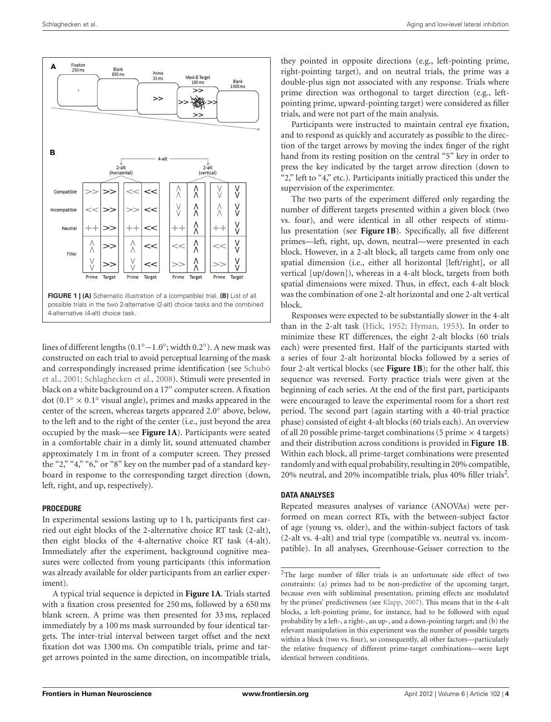

<span id="page-3-0"></span>lines of different lengths (0.1◦−1*.*0◦; width 0.2◦). A new mask was constructed on each trial to avoid perceptual learning of the mask and correspondingly increased prime identification (see Schubö et al., [2001;](#page-7-38) [Schlaghecken et al., 2008](#page-7-39)). Stimuli were presented in black on a white background on a 17" computer screen. A fixation dot (0.1◦ × 0*.*1◦ visual angle), primes and masks appeared in the center of the screen, whereas targets appeared 2.0◦ above, below, to the left and to the right of the center (i.e., just beyond the area occupied by the mask—see **[Figure 1A](#page-3-0)**). Participants were seated in a comfortable chair in a dimly lit, sound attenuated chamber approximately 1 m in front of a computer screen. They pressed the "2," "4," "6," or "8" key on the number pad of a standard keyboard in response to the corresponding target direction (down, left, right, and up, respectively).

#### **PROCEDURE**

In experimental sessions lasting up to 1 h, participants first carried out eight blocks of the 2-alternative choice RT task (2-alt), then eight blocks of the 4-alternative choice RT task (4-alt). Immediately after the experiment, background cognitive measures were collected from young participants (this information was already available for older participants from an earlier experiment).

A typical trial sequence is depicted in **[Figure 1A](#page-3-0)**. Trials started with a fixation cross presented for 250 ms, followed by a 650 ms blank screen. A prime was then presented for 33 ms, replaced immediately by a 100 ms mask surrounded by four identical targets. The inter-trial interval between target offset and the next fixation dot was 1300 ms. On compatible trials, prime and target arrows pointed in the same direction, on incompatible trials,

they pointed in opposite directions (e.g., left-pointing prime, right-pointing target), and on neutral trials, the prime was a double-plus sign not associated with any response. Trials where prime direction was orthogonal to target direction (e.g., leftpointing prime, upward-pointing target) were considered as filler trials, and were not part of the main analysis.

Participants were instructed to maintain central eye fixation, and to respond as quickly and accurately as possible to the direction of the target arrows by moving the index finger of the right hand from its resting position on the central "5" key in order to press the key indicated by the target arrow direction (down to "2," left to "4," etc.). Participants initially practiced this under the supervision of the experimenter.

The two parts of the experiment differed only regarding the number of different targets presented within a given block (two vs. four), and were identical in all other respects of stimulus presentation (see **[Figure 1B](#page-3-0)**). Specifically, all five different primes—left, right, up, down, neutral—were presented in each block. However, in a 2-alt block, all targets came from only one spatial dimension (i.e., either all horizontal [left/right], or all vertical [up/down]), whereas in a 4-alt block, targets from both spatial dimensions were mixed. Thus, in effect, each 4-alt block was the combination of one 2-alt horizontal and one 2-alt vertical block.

Responses were expected to be substantially slower in the 4-alt than in the 2-alt task [\(Hick, 1952;](#page-7-40) [Hyman](#page-7-41), [1953](#page-7-41)). In order to minimize these RT differences, the eight 2-alt blocks (60 trials each) were presented first. Half of the participants started with a series of four 2-alt horizontal blocks followed by a series of four 2-alt vertical blocks (see **[Figure 1B](#page-3-0)**); for the other half, this sequence was reversed. Forty practice trials were given at the beginning of each series. At the end of the first part, participants were encouraged to leave the experimental room for a short rest period. The second part (again starting with a 40-trial practice phase) consisted of eight 4-alt blocks (60 trials each). An overview of all 20 possible prime-target combinations (5 prime  $\times$  4 targets) and their distribution across conditions is provided in **[Figure 1B](#page-3-0)**. Within each block, all prime-target combinations were presented randomly and with equal probability, resulting in 20% compatible, [2](#page-3-1)0% neutral, and 20% incompatible trials, plus 40% filler trials<sup>2</sup>.

#### <span id="page-3-1"></span>**DATA ANALYSES**

Repeated measures analyses of variance (ANOVAs) were performed on mean correct RTs, with the between-subject factor of age (young vs. older), and the within-subject factors of task (2-alt vs. 4-alt) and trial type (compatible vs. neutral vs. incompatible). In all analyses, Greenhouse-Geisser correction to the

<sup>2</sup>The large number of filler trials is an unfortunate side effect of two constraints: (a) primes had to be non-predictive of the upcoming target, because even with subliminal presentation, priming effects are modulated by the primes' predictiveness (see [Klapp](#page-7-42), [2007\)](#page-7-42). This means that in the 4-alt blocks, a left-pointing prime, for instance, had to be followed with equal probability by a left-, a right-, an up-, and a down-pointing target; and (b) the relevant manipulation in this experiment was the number of possible targets within a block (two vs. four), so consequently, all other factors—particularly the relative frequency of different prime-target combinations—were kept identical between conditions.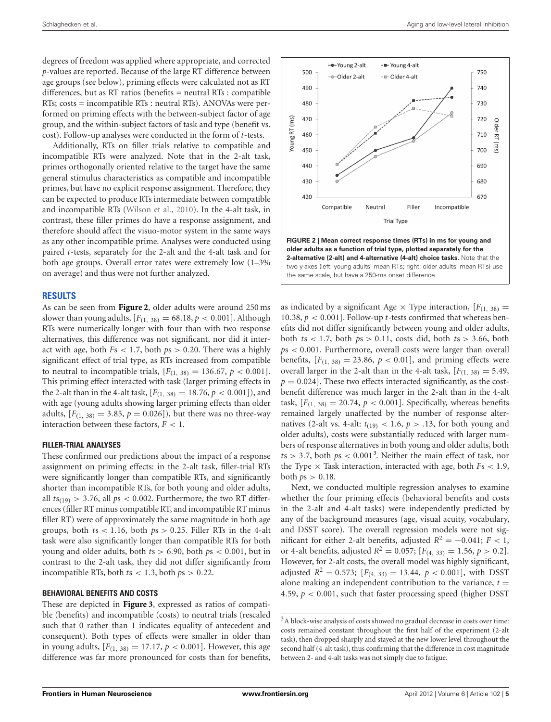degrees of freedom was applied where appropriate, and corrected *p*-values are reported. Because of the large RT difference between age groups (see below), priming effects were calculated not as RT differences, but as RT ratios (benefits = neutral RTs : compatible RTs; costs = incompatible RTs : neutral RTs). ANOVAs were performed on priming effects with the between-subject factor of age group, and the within-subject factors of task and type (benefit vs. cost). Follow-up analyses were conducted in the form of *t*-tests.

Additionally, RTs on filler trials relative to compatible and incompatible RTs were analyzed. Note that in the 2-alt task, primes orthogonally oriented relative to the target have the same general stimulus characteristics as compatible and incompatible primes, but have no explicit response assignment. Therefore, they can be expected to produce RTs intermediate between compatible and incompatible RTs [\(Wilson et al.](#page-8-2), [2010\)](#page-8-2). In the 4-alt task, in contrast, these filler primes do have a response assignment, and therefore should affect the visuo-motor system in the same ways as any other incompatible prime. Analyses were conducted using paired *t*-tests, separately for the 2-alt and the 4-alt task and for both age groups. Overall error rates were extremely low (1–3% on average) and thus were not further analyzed.

#### **RESULTS**

As can be seen from **[Figure 2](#page-4-0)**, older adults were around 250 ms slower than young adults,  $[F_{(1, 38)} = 68.18, p < 0.001]$ . Although RTs were numerically longer with four than with two response alternatives, this difference was not significant, nor did it interact with age, both *F*s *<* 1*.*7, both *p*s *>* 0*.*20. There was a highly significant effect of trial type, as RTs increased from compatible to neutral to incompatible trials,  $[F_{(1, 38)} = 136.67, p < 0.001].$ This priming effect interacted with task (larger priming effects in the 2-alt than in the 4-alt task,  $[F_{(1, 38)} = 18.76, p < 0.001]$ , and with age (young adults showing larger priming effects than older adults,  $[F_{(1, 38)} = 3.85, p = 0.026]$ , but there was no three-way interaction between these factors,  $F < 1$ .

#### **FILLER-TRIAL ANALYSES**

These confirmed our predictions about the impact of a response assignment on priming effects: in the 2-alt task, filler-trial RTs were significantly longer than compatible RTs, and significantly shorter than incompatible RTs, for both young and older adults, all  $ts_{(19)} > 3.76$ , all  $ps < 0.002$ . Furthermore, the two RT differences (filler RT minus compatible RT, and incompatible RT minus filler RT) were of approximately the same magnitude in both age groups, both  $ts < 1.16$ , both  $ps > 0.25$ . Filler RTs in the 4-alt task were also significantly longer than compatible RTs for both young and older adults, both *t*s *>* 6*.*90, both *p*s *<* 0*.*001, but in contrast to the 2-alt task, they did not differ significantly from incompatible RTs, both  $ts < 1.3$ , both  $ps > 0.22$ .

#### **BEHAVIORAL BENEFITS AND COSTS**

These are depicted in **[Figure 3](#page-5-0)**, expressed as ratios of compatible (benefits) and incompatible (costs) to neutral trials (rescaled such that 0 rather than 1 indicates equality of antecedent and consequent). Both types of effects were smaller in older than in young adults,  $[F_{(1, 38)} = 17.17, p < 0.001]$ . However, this age difference was far more pronounced for costs than for benefits,



<span id="page-4-0"></span>as indicated by a significant Age  $\times$  Type interaction,  $[F_{(1, 38)}]$ 10.38,  $p < 0.001$ . Follow-up *t*-tests confirmed that whereas benefits did not differ significantly between young and older adults, both *t*s *<* 1*.*7, both *p*s *>* 0*.*11, costs did, both *t*s *>* 3*.*66, both *p*s *<* 0*.*001. Furthermore, overall costs were larger than overall benefits,  $[F(1, 38) = 23.86, p < 0.01]$ , and priming effects were overall larger in the 2-alt than in the 4-alt task,  $[F(1, 38) = 5.49$ ,  $p = 0.024$ . These two effects interacted significantly, as the costbenefit difference was much larger in the 2-alt than in the 4-alt task,  $[F_{(1, 38)} = 20.74, p < 0.001]$ . Specifically, whereas benefits remained largely unaffected by the number of response alternatives (2-alt vs. 4-alt:  $t_{(19)}$  < 1.6,  $p > .13$ , for both young and older adults), costs were substantially reduced with larger numbers of response alternatives in both young and older adults, both  $ts > 3.7$  $ts > 3.7$  $ts > 3.7$ , both  $ps < 0.001<sup>3</sup>$ . Neither the main effect of task, nor the Type  $\times$  Task interaction, interacted with age, both  $Fs < 1.9$ , both  $ps > 0.18$ .

<span id="page-4-1"></span>Next, we conducted multiple regression analyses to examine whether the four priming effects (behavioral benefits and costs in the 2-alt and 4-alt tasks) were independently predicted by any of the background measures (age, visual acuity, vocabulary, and DSST score). The overall regression models were not significant for either 2-alt benefits, adjusted  $R^2 = -0.041$ ;  $F < 1$ , or 4-alt benefits, adjusted  $R^2 = 0.057$ ;  $[F_{(4, 33)} = 1.56, p > 0.2]$ . However, for 2-alt costs, the overall model was highly significant, adjusted  $R^2 = 0.573$ ;  $[F_{(4, 33)} = 13.44, p < 0.001]$ , with DSST alone making an independent contribution to the variance,  $t =$ 4*.*59, *p <* 0*.*001, such that faster processing speed (higher DSST

<sup>3</sup>A block-wise analysis of costs showed no gradual decrease in costs over time: costs remained constant throughout the first half of the experiment (2-alt task), then dropped sharply and stayed at the new lower level throughout the second half (4-alt task), thus confirming that the difference in cost magnitude between 2- and 4-alt tasks was not simply due to fatigue.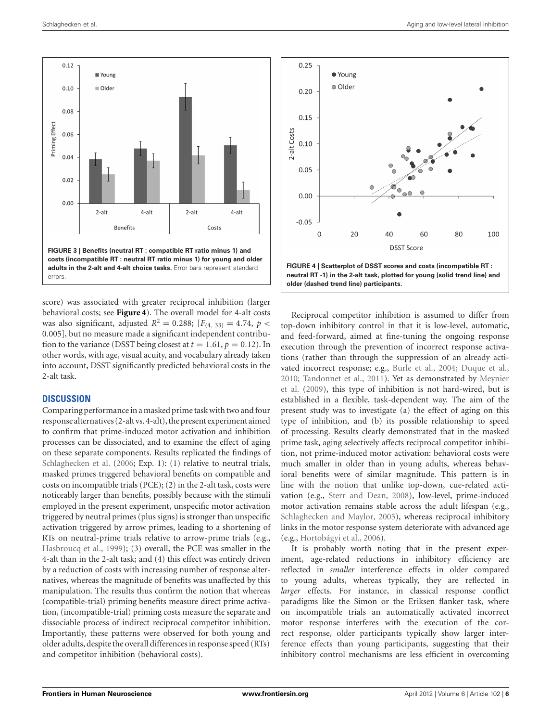

<span id="page-5-0"></span>score) was associated with greater reciprocal inhibition (larger behavioral costs; see **[Figure 4](#page-5-1)**). The overall model for 4-alt costs was also significant, adjusted  $R^2 = 0.288$ ;  $[F_{(4, 33)} = 4.74, p <$ 0*.*005], but no measure made a significant independent contribution to the variance (DSST being closest at  $t = 1.61$ ,  $p = 0.12$ ). In other words, with age, visual acuity, and vocabulary already taken into account, DSST significantly predicted behavioral costs in the 2-alt task.

## **DISCUSSION**

Comparing performance in a masked prime task with two and four response alternatives (2-alt vs. 4-alt), the present experiment aimed to confirm that prime-induced motor activation and inhibition processes can be dissociated, and to examine the effect of aging on these separate components. Results replicated the findings of [Schlaghecken et al.](#page-7-13) [\(2006](#page-7-13); Exp. 1): (1) relative to neutral trials, masked primes triggered behavioral benefits on compatible and costs on incompatible trials (PCE); (2) in the 2-alt task, costs were noticeably larger than benefits, possibly because with the stimuli employed in the present experiment, unspecific motor activation triggered by neutral primes (plus signs) is stronger than unspecific activation triggered by arrow primes, leading to a shortening of RTs on neutral-prime trials relative to arrow-prime trials (e.g., [Hasbroucq et al.](#page-7-43), [1999\)](#page-7-43); (3) overall, the PCE was smaller in the 4-alt than in the 2-alt task; and (4) this effect was entirely driven by a reduction of costs with increasing number of response alternatives, whereas the magnitude of benefits was unaffected by this manipulation. The results thus confirm the notion that whereas (compatible-trial) priming benefits measure direct prime activation, (incompatible-trial) priming costs measure the separate and dissociable process of indirect reciprocal competitor inhibition. Importantly, these patterns were observed for both young and older adults, despite the overall differences in response speed (RTs) and competitor inhibition (behavioral costs).



<span id="page-5-1"></span>Reciprocal competitor inhibition is assumed to differ from top-down inhibitory control in that it is low-level, automatic, and feed-forward, aimed at fine-tuning the ongoing response execution through the prevention of incorrect response activations (rather than through the suppression of an already activated incorrect response; e.g., [Burle et al.](#page-6-8), [2004](#page-6-8); [Duque et al.,](#page-6-7) [2010;](#page-6-7) [Tandonnet et al.](#page-7-19)[,](#page-7-20) [2011](#page-7-19)[\). Yet as demonstrated by](#page-7-20) Meynier et al. [\(2009](#page-7-20)), this type of inhibition is not hard-wired, but is established in a flexible, task-dependent way. The aim of the present study was to investigate (a) the effect of aging on this type of inhibition, and (b) its possible relationship to speed of processing. Results clearly demonstrated that in the masked prime task, aging selectively affects reciprocal competitor inhibition, not prime-induced motor activation: behavioral costs were much smaller in older than in young adults, whereas behavioral benefits were of similar magnitude. This pattern is in line with the notion that unlike top-down, cue-related activation (e.g., [Sterr and Dean](#page-7-44), [2008\)](#page-7-44), low-level, prime-induced motor activation remains stable across the adult lifespan (e.g., [Schlaghecken and Maylor](#page-7-8), [2005](#page-7-8)), whereas reciprocal inhibitory links in the motor response system deteriorate with advanced age (e.g., [Hortobágyi et al., 2006](#page-7-22)).

It is probably worth noting that in the present experiment, age-related reductions in inhibitory efficiency are reflected in *smaller* interference effects in older compared to young adults, whereas typically, they are reflected in *larger* effects. For instance, in classical response conflict paradigms like the Simon or the Eriksen flanker task, where on incompatible trials an automatically activated incorrect motor response interferes with the execution of the correct response, older participants typically show larger interference effects than young participants, suggesting that their inhibitory control mechanisms are less efficient in overcoming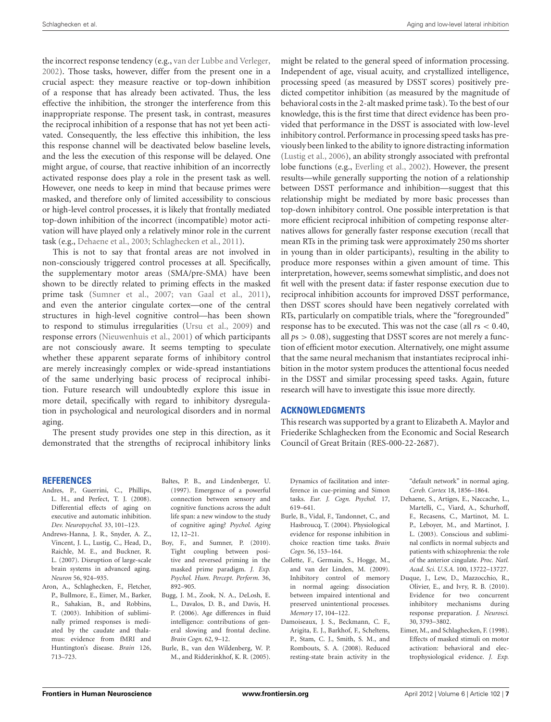the incorrect response tendency (e.g., [van der Lubbe and Verleger,](#page-8-3) [2002\)](#page-8-3). Those tasks, however, differ from the present one in a crucial aspect: they measure reactive or top-down inhibition of a response that has already been activated. Thus, the less effective the inhibition, the stronger the interference from this inappropriate response. The present task, in contrast, measures the reciprocal inhibition of a response that has not yet been activated. Consequently, the less effective this inhibition, the less this response channel will be deactivated below baseline levels, and the less the execution of this response will be delayed. One might argue, of course, that reactive inhibition of an incorrectly activated response does play a role in the present task as well. However, one needs to keep in mind that because primes were masked, and therefore only of limited accessibility to conscious or high-level control processes, it is likely that frontally mediated top-down inhibition of the incorrect (incompatible) motor activation will have played only a relatively minor role in the current task (e.g., [Dehaene et al.](#page-6-12), [2003](#page-6-12); [Schlaghecken et al., 2011](#page-7-10)).

This is not to say that frontal areas are not involved in non-consciously triggered control processes at all. Specifically, the supplementary motor areas (SMA/pre-SMA) have been shown to be directly related to priming effects in the masked prime task [\(Sumner et al.](#page-7-11), [2007](#page-7-11); [van Gaal et al., 2011](#page-8-4)), and even the anterior cingulate cortex—one of the central structures in high-level cognitive control—has been shown to respond to stimulus irregularities [\(Ursu et al.](#page-7-45), [2009\)](#page-7-45) and response errors [\(Nieuwenhuis et al.](#page-7-46), [2001\)](#page-7-46) of which participants are not consciously aware. It seems tempting to speculate whether these apparent separate forms of inhibitory control are merely increasingly complex or wide-spread instantiations of the same underlying basic process of reciprocal inhibition. Future research will undoubtedly explore this issue in more detail, specifically with regard to inhibitory dysregulation in psychological and neurological disorders and in normal aging.

The present study provides one step in this direction, as it demonstrated that the strengths of reciprocal inhibitory links

might be related to the general speed of information processing. Independent of age, visual acuity, and crystallized intelligence, processing speed (as measured by DSST scores) positively predicted competitor inhibition (as measured by the magnitude of behavioral costs in the 2-alt masked prime task). To the best of our knowledge, this is the first time that direct evidence has been provided that performance in the DSST is associated with low-level inhibitory control. Performance in processing speed tasks has previously been linked to the ability to ignore distracting information [\(Lustig et al., 2006](#page-7-34)), an ability strongly associated with prefrontal lobe functions (e.g., [Everling et al., 2002\)](#page-7-47). However, the present results—while generally supporting the notion of a relationship between DSST performance and inhibition—suggest that this relationship might be mediated by more basic processes than top-down inhibitory control. One possible interpretation is that more efficient reciprocal inhibition of competing response alternatives allows for generally faster response execution (recall that mean RTs in the priming task were approximately 250 ms shorter in young than in older participants), resulting in the ability to produce more responses within a given amount of time. This interpretation, however, seems somewhat simplistic, and does not fit well with the present data: if faster response execution due to reciprocal inhibition accounts for improved DSST performance, then DSST scores should have been negatively correlated with RTs, particularly on compatible trials, where the "foregrounded" response has to be executed. This was not the case (all *r*s *<* 0*.*40, all *p*s *>* 0*.*08), suggesting that DSST scores are not merely a function of efficient motor execution. Alternatively, one might assume that the same neural mechanism that instantiates reciprocal inhibition in the motor system produces the attentional focus needed in the DSST and similar processing speed tasks. Again, future research will have to investigate this issue more directly.

#### **ACKNOWLEDGMENTS**

This research was supported by a grant to Elizabeth A. Maylor and Friederike Schlaghecken from the Economic and Social Research Council of Great Britain (RES-000-22-2687).

#### **REFERENCES**

- <span id="page-6-1"></span>Andres, P., Guerrini, C., Phillips, L. H., and Perfect, T. J. (2008). Differential effects of aging on executive and automatic inhibition. *Dev. Neuropsychol.* 33, 101–123.
- <span id="page-6-9"></span>Andrews-Hanna, J. R., Snyder, A. Z., Vincent, J. L., Lustig, C., Head, D., Raichle, M. E., and Buckner, R. L. (2007). Disruption of large-scale brain systems in advanced aging. *Neuron* 56, 924–935.
- <span id="page-6-5"></span>Aron, A., Schlaghecken, F., Fletcher, P., Bullmore, E., Eimer, M., Barker, R., Sahakian, B., and Robbins, T. (2003). Inhibition of subliminally primed responses is mediated by the caudate and thalamus: evidence from fMRI and Huntington's disease. *Brain* 126, 713–723.
- <span id="page-6-11"></span>Baltes, P. B., and Lindenberger, U. (1997). Emergence of a powerful connection between sensory and cognitive functions across the adult life span: a new window to the study of cognitive aging? *Psychol. Aging* 12, 12–21.
- <span id="page-6-6"></span>Boy, F., and Sumner, P. (2010). Tight coupling between positive and reversed priming in the masked prime paradigm. *J. Exp. Psychol. Hum. Percept. Perform.* 36, 892–905.
- <span id="page-6-0"></span>Bugg, J. M., Zook, N. A., DeLosh, E. L., Davalos, D. B., and Davis, H. P. (2006). Age differences in fluid intelligence: contributions of general slowing and frontal decline. *Brain Cogn.* 62, 9–12.
- <span id="page-6-3"></span>Burle, B., van den Wildenberg, W. P. M., and Ridderinkhof, K. R. (2005).

Dynamics of facilitation and interference in cue-priming and Simon tasks. *Eur. J. Cogn. Psychol.* 17, 619–641.

- <span id="page-6-8"></span>Burle, B., Vidal, F., Tandonnet, C., and Hasbroucq, T. (2004). Physiological evidence for response inhibition in choice reaction time tasks. *Brain Cogn.* 56, 153–164.
- <span id="page-6-2"></span>Collette, F., Germain, S., Hogge, M., and van der Linden, M. (2009). Inhibitory control of memory in normal ageing: dissociation between impaired intentional and preserved unintentional processes. *Memory* 17, 104–122.
- <span id="page-6-10"></span>Damoiseaux, J. S., Beckmann, C. F., Arigita, E. J., Barkhof, F., Scheltens, P., Stam, C. J., Smith, S. M., and Rombouts, S. A. (2008). Reduced resting-state brain activity in the

"default network" in normal aging. *Cereb. Cortex* 18, 1856–1864.

- <span id="page-6-12"></span>Dehaene, S., Artiges, E., Naccache, L., Martelli, C., Viard, A., Schurhoff, F., Recasens, C., Martinot, M. L. P., Leboyer, M., and Martinot, J. L. (2003). Conscious and subliminal conflicts in normal subjects and patients with schizophrenia: the role of the anterior cingulate. *Proc. Natl. Acad. Sci. U.S.A.* 100, 13722–13727.
- <span id="page-6-7"></span>Duque, J., Lew, D., Mazzocchio, R., Olivier, E., and Ivry, R. B. (2010). Evidence for two concurrent inhibitory mechanisms during response preparation. *J. Neurosci.* 30, 3793–3802.
- <span id="page-6-4"></span>Eimer, M., and Schlaghecken, F. (1998). Effects of masked stimuli on motor activation: behavioral and electrophysiological evidence. *J. Exp.*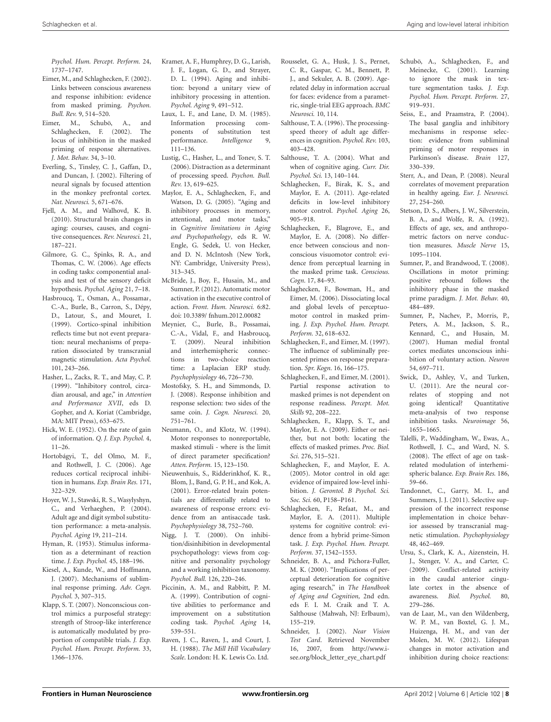*Psychol. Hum. Percept. Perform.* 24, 1737–1747.

- <span id="page-7-6"></span>Eimer, M., and Schlaghecken, F. (2002). Links between conscious awareness and response inhibition: evidence from masked priming. *Psychon. Bull. Rev.* 9, 514–520.
- <span id="page-7-17"></span>Eimer, M., Schubö, A., and Schlaghecken, F. (2002). The locus of inhibition in the masked priming of response alternatives. *J. Mot. Behav.* 34, 3–10.
- <span id="page-7-47"></span>Everling, S., Tinsley, C. J., Gaffan, D., and Duncan, J. (2002). Filtering of neural signals by focused attention in the monkey prefrontal cortex. *Nat. Neurosci.* 5, 671–676.
- <span id="page-7-28"></span>Fjell, A. M., and Walhovd, K. B. (2010). Structural brain changes in aging: courses, causes, and cognitive consequences. *Rev. Neurosci.* 21, 187–221.
- <span id="page-7-33"></span>Gilmore, G. C., Spinks, R. A., and Thomas, C. W. (2006). Age effects in coding tasks: componential analysis and test of the sensory deficit hypothesis. *Psychol. Aging* 21, 7–18.
- <span id="page-7-43"></span>Hasbroucq, T., Osman, A., Possama*ı*, C.-A., Burle, B., Carron, S., Dépy, D., Latour, S., and Mouret, I. (1999). Cortico-spinal inhibition reflects time but not event preparation: neural mechanisms of preparation dissociated by transcranial magnetic stimulation. *Acta Psychol.* 101, 243–266.
- <span id="page-7-0"></span>Hasher, L., Zacks, R. T., and May, C. P. (1999). "Inhibitory control, circadian arousal, and age," in *Attention and Performance XVII*, eds D. Gopher, and A. Koriat (Cambridge, MA: MIT Press), 653–675.
- <span id="page-7-40"></span>Hick, W. E. (1952). On the rate of gain of information. *Q. J. Exp. Psychol.* 4, 11–26.
- <span id="page-7-22"></span>Hortobágyi, T., del Olmo, M. F., and Rothwell, J. C. (2006). Age reduces cortical reciprocal inhibition in humans. *Exp. Brain Res.* 171, 322–329.
- <span id="page-7-30"></span>Hoyer, W. J., Stawski, R. S., Wasylyshyn, C., and Verhaeghen, P. (2004). Adult age and digit symbol substitution performance: a meta-analysis. *Psychol. Aging* 19, 211–214.
- <span id="page-7-41"></span>Hyman, R. (1953). Stimulus information as a determinant of reaction time. *J. Exp. Psychol.* 45, 188–196.
- <span id="page-7-16"></span>Kiesel, A., Kunde, W., and Hoffmann, J. (2007). Mechanisms of subliminal response priming. *Adv. Cogn. Psychol.* 3, 307–315.
- <span id="page-7-42"></span>Klapp, S. T. (2007). Nonconscious control mimics a purposeful strategy: strength of Stroop-like interference is automatically modulated by proportion of compatible trials. *J. Exp. Psychol. Hum. Percept. Perform.* 33, 1366–1376.
- <span id="page-7-1"></span>Kramer, A. F., Humphrey, D. G., Larish, J. F., Logan, G. D., and Strayer, D. L. (1994). Aging and inhibition: beyond a unitary view of inhibitory processing in attention. *Psychol. Aging* 9, 491–512.
- <span id="page-7-31"></span>Laux, L. F., and Lane, D. M. (1985). Information processing components of substitution test performance. *Intelligence* 9, 111–136.
- <span id="page-7-34"></span>Lustig, C., Hasher, L., and Tonev, S. T. (2006). Distraction as a determinant of processing speed. *Psychon. Bull. Rev.* 13, 619–625.
- <span id="page-7-3"></span>Maylor, E. A., Schlaghecken, F., and Watson, D. G. (2005). "Aging and inhibitory processes in memory, attentional, and motor tasks," in *Cognitive limitations in Aging and Psychopathology*, eds R. W. Engle, G. Sedek, U. von Hecker, and D. N. McIntosh (New York, NY: Cambridge, University Press), 313–345.
- <span id="page-7-12"></span>McBride, J., Boy, F., Husain, M., and Sumner, P. (2012). Automatic motor activation in the executive control of action. *Front. Hum. Neurosci.* 6:82. doi: 10.3389/ fnhum.2012.00082
- <span id="page-7-20"></span>Meynier, C., Burle, B., Possamai, C.-A., Vidal, F., and Hasbroucq, T. (2009). Neural inhibition and interhemispheric connections in two-choice reaction time: a Laplacian ERP study. *Psychophysiology* 46, 726–730.
- <span id="page-7-21"></span>Mostofsky, S. H., and Simmonds, D. J. (2008). Response inhibition and response selection: two sides of the same coin. *J. Cogn. Neurosci.* 20, 751–761.
- <span id="page-7-15"></span>Neumann, O., and Klotz, W. (1994). Motor responses to nonreportable, masked stimuli - where is the limit of direct parameter specification? *Atten. Perform.* 15, 123–150.
- <span id="page-7-46"></span>Nieuwenhuis, S., Ridderinkhof, K. R., Blom, J., Band, G. P. H., and Kok, A. (2001). Error-related brain potentials are differentially related to awareness of response errors: evidence from an antisaccade task. *Psychophysiology* 38, 752–760.
- <span id="page-7-2"></span>Nigg, J. T. (2000). On inhibition/disinhibition in developmental psychopathology: views from cognitive and personality psychology and a working inhibition taxonomy. *Psychol. Bull.* 126, 220–246.
- <span id="page-7-32"></span>Piccinin, A. M., and Rabbitt, P. M. A. (1999). Contribution of cognitive abilities to performance and improvement on a substitution coding task. *Psychol. Aging* 14, 539–551.
- <span id="page-7-35"></span>Raven, J. C., Raven, J., and Court, J. H. (1988). *The Mill Hill Vocabulary Scale*. London: H. K. Lewis Co. Ltd.
- <span id="page-7-29"></span>Rousselet, G. A., Husk, J. S., Pernet, C. R., Gaspar, C. M., Bennett, P. J., and Sekuler, A. B. (2009). Agerelated delay in information accrual for faces: evidence from a parametric, single-trial EEG approach. *BMC Neurosci.* 10, 114.
- <span id="page-7-25"></span>Salthouse, T. A. (1996). The processingspeed theory of adult age differences in cognition. *Psychol. Rev.* 103, 403–428.
- <span id="page-7-26"></span>Salthouse, T. A. (2004). What and when of cognitive aging. *Curr. Dir. Psychol. Sci.* 13, 140–144.
- <span id="page-7-10"></span>Schlaghecken, F., Birak, K. S., and Maylor, E. A. (2011). Age-related deficits in low-level inhibitory motor control. *Psychol. Aging* 26, 905–918.
- <span id="page-7-39"></span>Schlaghecken, F., Blagrove, E., and Maylor, E. A. (2008). No difference between conscious and nonconscious visuomotor control: evidence from perceptual learning in the masked prime task. *Conscious. Cogn.* 17, 84–93.
- <span id="page-7-13"></span>Schlaghecken, F., Bowman, H., and Eimer, M. (2006). Dissociating local and global levels of perceptuomotor control in masked priming. *J. Exp. Psychol. Hum. Percept. Perform.* 32, 618–632.
- <span id="page-7-5"></span>Schlaghecken, F., and Eimer, M. (1997). The influence of subliminally presented primes on response preparation. *Spr. Kogn.* 16, 166–175.
- <span id="page-7-14"></span>Schlaghecken, F., and Eimer, M. (2001). Partial response activation to masked primes is not dependent on response readiness. *Percept. Mot. Skills* 92, 208–222.
- <span id="page-7-18"></span>Schlaghecken, F., Klapp, S. T., and Maylor, E. A. (2009). Either or neither, but not both: locating the effects of masked primes. *Proc. Biol. Sci.* 276, 515–521.
- <span id="page-7-8"></span>Schlaghecken, F., and Maylor, E. A. (2005). Motor control in old age: evidence of impaired low-level inhibition. *J. Gerontol. B Psychol. Sci. Soc. Sci.* 60, P158–P161.
- Schlaghecken, F., Refaat, M., and Maylor, E. A. (2011). Multiple systems for cognitive control: evidence from a hybrid prime-Simon task. *J. Exp. Psychol. Hum. Percept. Perform.* 37, 1542–1553.
- <span id="page-7-37"></span>Schneider, B. A., and Pichora-Fuller, M. K. (2000). "Implications of perceptual deterioration for cognitive aging research," in *The Handbook of Aging and Cognition,* 2nd edn. eds F. I. M. Craik and T. A. Salthouse (Mahwah, NJ: Erlbaum), 155–219.
- <span id="page-7-36"></span>Schneider, J. (2002). *Near Vision Test Card*. Retrieved November 16, 2007, from http://www.isee.org/block\_letter\_eye\_chart.pdf
- <span id="page-7-38"></span>Schubö, A., Schlaghecken, F., and Meinecke, C. (2001). Learning to ignore the mask in texture segmentation tasks. *J. Exp. Psychol. Hum. Percept. Perform.* 27, 919–931.
- <span id="page-7-7"></span>Seiss, E., and Praamstra, P. (2004). The basal ganglia and inhibitory mechanisms in response selection: evidence from subliminal priming of motor responses in Parkinson's disease. *Brain* 127, 330–339.
- <span id="page-7-44"></span>Sterr, A., and Dean, P. (2008). Neural correlates of movement preparation in healthy ageing. *Eur. J. Neurosci.* 27, 254–260.
- <span id="page-7-27"></span>Stetson, D. S., Albers, J. W., Silverstein, B. A., and Wolfe, R. A. (1992). Effects of age, sex, and anthropometric factors on nerve conduction measures. *Muscle Nerve* 15, 1095–1104.
- <span id="page-7-9"></span>Sumner, P., and Brandwood, T. (2008). Oscillations in motor priming: positive rebound follows the inhibitory phase in the masked prime paradigm. *J. Mot. Behav.* 40, 484–489.
- <span id="page-7-11"></span>Sumner, P., Nachev, P., Morris, P., Peters, A. M., Jackson, S. R., Kennard, C., and Husain, M. (2007). Human medial frontal cortex mediates unconscious inhibition of voluntary action. *Neuron* 54, 697–711.
- <span id="page-7-4"></span>Swick, D., Ashley, V., and Turken, U. (2011). Are the neural correlates of stopping and not going identical? Quantitative meta-analysis of two response inhibition tasks. *Neuroimage* 56, 1655–1665.
- <span id="page-7-23"></span>Talelli, P., Waddingham, W., Ewas, A., Rothwell, J. C., and Ward, N. S. (2008). The effect of age on taskrelated modulation of interhemispheric balance. *Exp. Brain Res.* 186, 59–66.
- <span id="page-7-19"></span>Tandonnet, C., Garry, M. I., and Summers, J. J. (2011). Selective suppression of the incorrect response implementation in choice behavior assessed by transcranial magnetic stimulation. *Psychophysiology* 48, 462–469.
- <span id="page-7-45"></span>Ursu, S., Clark, K. A., Aizenstein, H. J., Stenger, V. A., and Carter, C. (2009). Conflict-related activity in the caudal anterior cingulate cortex in the absence of awareness. *Biol. Psychol.* 80, 279–286.
- <span id="page-7-24"></span>van de Laar, M., van den Wildenberg, W. P. M., van Boxtel, G. J. M., Huizenga, H. M., and van der Molen, M. W. (2012). Lifespan changes in motor activation and inhibition during choice reactions: